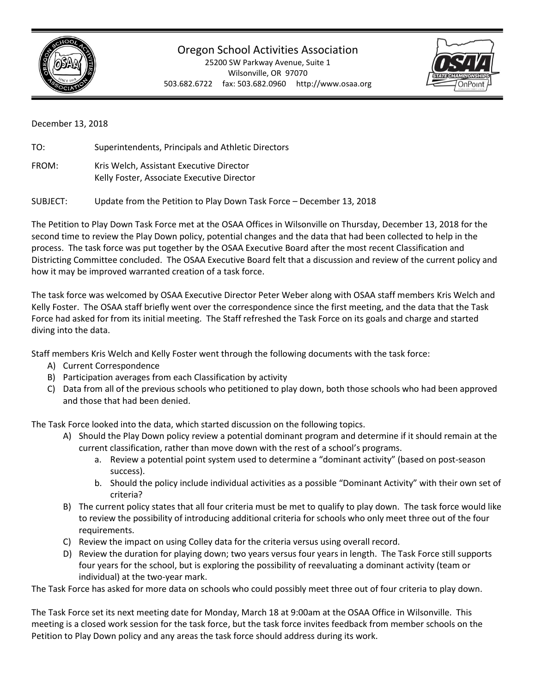

## Oregon School Activities Association

25200 SW Parkway Avenue, Suite 1 Wilsonville, OR 97070 503.682.6722 fax: 503.682.0960 http://www.osaa.org



December 13, 2018

TO: Superintendents, Principals and Athletic Directors FROM: Kris Welch, Assistant Executive Director Kelly Foster, Associate Executive Director

SUBJECT: Update from the Petition to Play Down Task Force – December 13, 2018

The Petition to Play Down Task Force met at the OSAA Offices in Wilsonville on Thursday, December 13, 2018 for the second time to review the Play Down policy, potential changes and the data that had been collected to help in the process. The task force was put together by the OSAA Executive Board after the most recent Classification and Districting Committee concluded. The OSAA Executive Board felt that a discussion and review of the current policy and how it may be improved warranted creation of a task force.

The task force was welcomed by OSAA Executive Director Peter Weber along with OSAA staff members Kris Welch and Kelly Foster. The OSAA staff briefly went over the correspondence since the first meeting, and the data that the Task Force had asked for from its initial meeting. The Staff refreshed the Task Force on its goals and charge and started diving into the data.

Staff members Kris Welch and Kelly Foster went through the following documents with the task force:

- A) Current Correspondence
- B) Participation averages from each Classification by activity
- C) Data from all of the previous schools who petitioned to play down, both those schools who had been approved and those that had been denied.

The Task Force looked into the data, which started discussion on the following topics.

- A) Should the Play Down policy review a potential dominant program and determine if it should remain at the current classification, rather than move down with the rest of a school's programs.
	- a. Review a potential point system used to determine a "dominant activity" (based on post-season success).
	- b. Should the policy include individual activities as a possible "Dominant Activity" with their own set of criteria?
- B) The current policy states that all four criteria must be met to qualify to play down. The task force would like to review the possibility of introducing additional criteria for schools who only meet three out of the four requirements.
- C) Review the impact on using Colley data for the criteria versus using overall record.
- D) Review the duration for playing down; two years versus four years in length. The Task Force still supports four years for the school, but is exploring the possibility of reevaluating a dominant activity (team or individual) at the two-year mark.

The Task Force has asked for more data on schools who could possibly meet three out of four criteria to play down.

The Task Force set its next meeting date for Monday, March 18 at 9:00am at the OSAA Office in Wilsonville. This meeting is a closed work session for the task force, but the task force invites feedback from member schools on the Petition to Play Down policy and any areas the task force should address during its work.